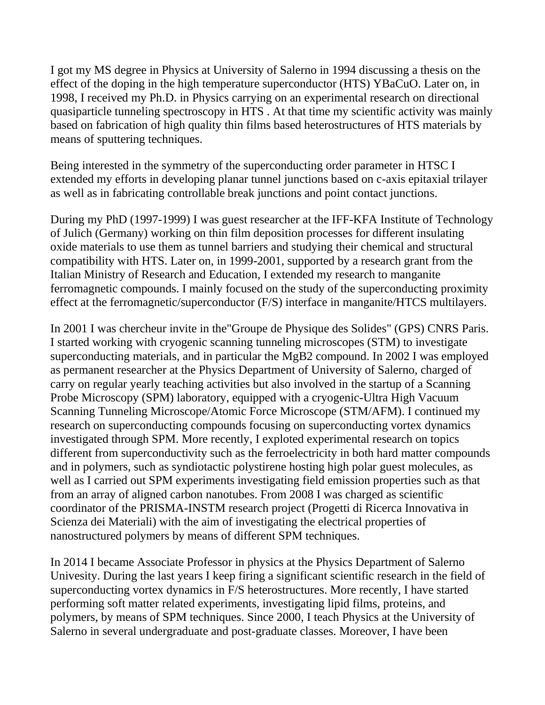I got my MS degree in Physics at University of Salerno in 1994 discussing a thesis on the effect of the doping in the high temperature superconductor (HTS) YBaCuO. Later on, in 1998, I received my Ph.D. in Physics carrying on an experimental research on directional quasiparticle tunneling spectroscopy in HTS . At that time my scientific activity was mainly based on fabrication of high quality thin films based heterostructures of HTS materials by means of sputtering techniques.

Being interested in the symmetry of the superconducting order parameter in HTSC I extended my efforts in developing planar tunnel junctions based on c-axis epitaxial trilayer as well as in fabricating controllable break junctions and point contact junctions.

During my PhD (1997-1999) I was guest researcher at the IFF-KFA Institute of Technology of Julich (Germany) working on thin film deposition processes for different insulating oxide materials to use them as tunnel barriers and studying their chemical and structural compatibility with HTS. Later on, in 1999-2001, supported by a research grant from the Italian Ministry of Research and Education, I extended my research to manganite ferromagnetic compounds. I mainly focused on the study of the superconducting proximity effect at the ferromagnetic/superconductor (F/S) interface in manganite/HTCS multilayers.

In 2001 I was chercheur invite in the"Groupe de Physique des Solides" (GPS) CNRS Paris. I started working with cryogenic scanning tunneling microscopes (STM) to investigate superconducting materials, and in particular the MgB2 compound. In 2002 I was employed as permanent researcher at the Physics Department of University of Salerno, charged of carry on regular yearly teaching activities but also involved in the startup of a Scanning Probe Microscopy (SPM) laboratory, equipped with a cryogenic-Ultra High Vacuum Scanning Tunneling Microscope/Atomic Force Microscope (STM/AFM). I continued my research on superconducting compounds focusing on superconducting vortex dynamics investigated through SPM. More recently, I exploted experimental research on topics different from superconductivity such as the ferroelectricity in both hard matter compounds and in polymers, such as syndiotactic polystirene hosting high polar guest molecules, as well as I carried out SPM experiments investigating field emission properties such as that from an array of aligned carbon nanotubes. From 2008 I was charged as scientific coordinator of the PRISMA-INSTM research project (Progetti di Ricerca Innovativa in Scienza dei Materiali) with the aim of investigating the electrical properties of nanostructured polymers by means of different SPM techniques.

In 2014 I became Associate Professor in physics at the Physics Department of Salerno Univesity. During the last years I keep firing a significant scientific research in the field of superconducting vortex dynamics in F/S heterostructures. More recently, I have started performing soft matter related experiments, investigating lipid films, proteins, and polymers, by means of SPM techniques. Since 2000, I teach Physics at the University of Salerno in several undergraduate and post-graduate classes. Moreover, I have been